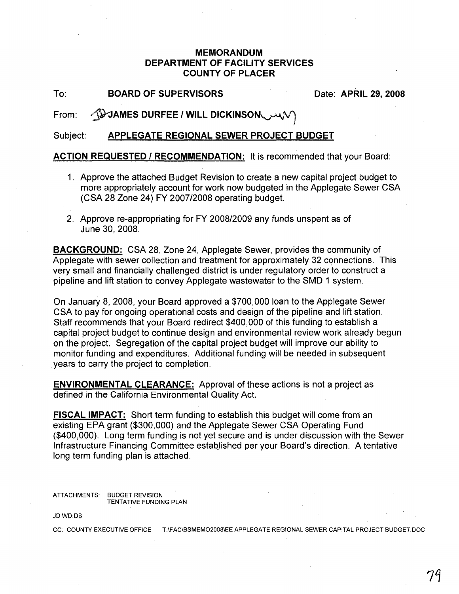## MEMORANDUM DEPARTMENT OF FACILITY SERVICES COUNTY OF PLACER

To: BOARD OF SUPERVISORS Date: APRIL 29, 2008

From: 49 JAMES DURFEE / WILL DICKINSON

Subject: APPLEGATE REGIONAL SEWER PROJECT BUDGET

ACTION REQUESTED / RECOMMENDATION: It is recommended that your Board:

- 1. Approve the attached Budget Revision to create a new capital project budget to more appropriately account for work now budgeted in the Applegate Sewer CSA (CSA 28 Zone 24) FY 2007/2008 operating budget.
- 2. Approve re-appropriating for FY 2008/2009 any funds unspent as of June 30, 2008.

BACKGROUND: CSA 28, Zone 24, Applegate Sewer, provides the community of Applegate with sewer collection and treatment for approximately 32 connections. This very small and financially challenged district is under regulatory order to construct a pipeline and lift station to convey Applegate wastewater to the SMD 1 system.

On JanuarY 8, 2008, your Board approved a \$700,000 loan to the Applegate Sewer CSA to pay for ongoing operational costs and design of the pipeline and lift station. Staff recommends that your Board redirect \$400,000 of this funding to establish a capital project budget to continue design and environmental review work already begun on the project. Segregation of the capital project budget will improve our ability to monitor funding and expenditures. Additional funding will be needed in subsequent years to carry the project to completion.

ENVIRONMENTAL CLEARANCE: Approval of these actions is not a project as defined in the California Environmental Quality Act.

**FISCAL IMPACT:** Short term funding to establish this budget will come from an existing EPA grant (\$300,000) and the Applegate Sewer CSA Operating Fund (\$400,000). Long term funding is not yet secure and is under discussion with the Sewer Infrastructure Financing Committee established per your Board's direction. A tentative long term funding plan is attached.

ATTACHMENTS: BUDGET REVISION TENTATIVE FUNDING PLAN

JD:WD:DB

CC: COUNTY EXECUTIVE OFFICE T:\FAC\BSMEMO2008\EE APPLEGATE REGIONAL SEWER CAPITAL PROJECT BUDGET.DOC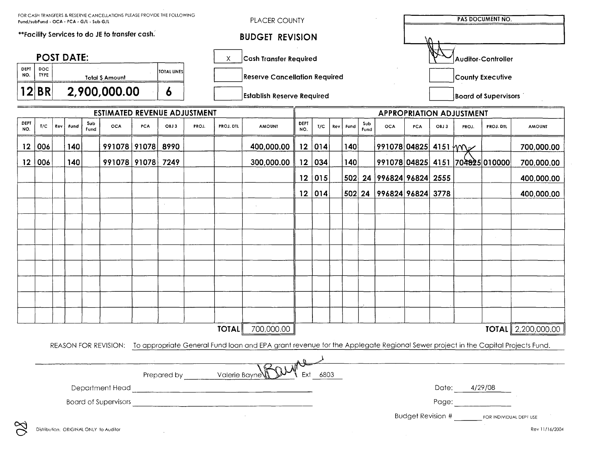| FOR CASH TRANSFERS & RESERVE CANCELLATIONS PLEASE PROVIDE THE FOLLOWING<br>Fund/subFund - OCA - PCA - G/L - Sub G/L                                |                                               |                                              |      |             |                                        |     |      | PLACER COUNTY                     |                        |                                 |                                      |                                           |     | PAS DOCUMENT NO.            |             |                          |                    |       |                  |                                                                                                                                                                                                                                |                                       |  |
|----------------------------------------------------------------------------------------------------------------------------------------------------|-----------------------------------------------|----------------------------------------------|------|-------------|----------------------------------------|-----|------|-----------------------------------|------------------------|---------------------------------|--------------------------------------|-------------------------------------------|-----|-----------------------------|-------------|--------------------------|--------------------|-------|------------------|--------------------------------------------------------------------------------------------------------------------------------------------------------------------------------------------------------------------------------|---------------------------------------|--|
| **Facility Services to do JE to transfer cash.                                                                                                     |                                               |                                              |      |             |                                        |     |      |                                   | <b>BUDGET REVISION</b> |                                 |                                      |                                           |     |                             |             |                          |                    |       |                  |                                                                                                                                                                                                                                |                                       |  |
| <b>POST DATE:</b><br>Χ                                                                                                                             |                                               |                                              |      |             |                                        |     |      |                                   |                        | <b>Cash Transfer Required</b>   |                                      |                                           |     |                             |             |                          | Auditor-Controller |       |                  |                                                                                                                                                                                                                                |                                       |  |
| DEPT<br>NO.                                                                                                                                        | <b>DOC</b><br><b>TYPE</b>                     | <b>TOTAL LINES</b><br><b>Total \$ Amount</b> |      |             |                                        |     |      |                                   |                        |                                 | <b>Reserve Cancellation Required</b> |                                           |     |                             |             |                          |                    |       | County Executive |                                                                                                                                                                                                                                |                                       |  |
| 12                                                                                                                                                 | <b>BR</b><br>2,900,000.00<br>$\boldsymbol{6}$ |                                              |      |             |                                        |     |      | <b>Establish Reserve Required</b> |                        |                                 |                                      |                                           |     | <b>Board of Supervisors</b> |             |                          |                    |       |                  |                                                                                                                                                                                                                                |                                       |  |
| <b>ESTIMATED REVENUE ADJUSTMENT</b>                                                                                                                |                                               |                                              |      |             |                                        |     |      |                                   |                        | <b>APPROPRIATION ADJUSTMENT</b> |                                      |                                           |     |                             |             |                          |                    |       |                  |                                                                                                                                                                                                                                |                                       |  |
| DEPT<br>NO.                                                                                                                                        | T/C                                           | Rev                                          | Fund | Sub<br>Fund | <b>OCA</b>                             | PCA | OBJ3 | PROJ.                             | PROJ. DTL              | <b>AMOUNT</b>                   | DEPT<br>NO.                          | T/C                                       | Rev | <b>Fund</b>                 | Sub<br>Fund | <b>OCA</b>               | PCA                | OBJ 3 | PROJ.            | <b>PROJ. DTL</b>                                                                                                                                                                                                               | <b>AMOUNT</b>                         |  |
| $12 \,$                                                                                                                                            | 006                                           |                                              | 140  |             | 991078 91078                           |     | 8990 |                                   |                        | 400,000.00                      | 12                                   | 014                                       |     | 40                          |             | 991078 04825 4151 M      |                    |       |                  |                                                                                                                                                                                                                                | 700,000.00                            |  |
| 12 <sub>2</sub>                                                                                                                                    | 006                                           |                                              | 140  |             | 991078 91078                           |     | 7249 |                                   |                        | 300,000.00                      | 12                                   | 034                                       |     | 140                         |             |                          |                    |       |                  | 991078 04825  4151  704825 010000                                                                                                                                                                                              | 700,000.00                            |  |
|                                                                                                                                                    |                                               |                                              |      |             |                                        |     |      |                                   |                        |                                 |                                      | 12 015                                    |     |                             |             | 502 24 996824 96824 2555 |                    |       |                  |                                                                                                                                                                                                                                | 400,000.00                            |  |
|                                                                                                                                                    |                                               |                                              |      |             |                                        |     |      |                                   |                        |                                 |                                      | 12 014                                    |     |                             |             | 502 24 996824 96824 3778 |                    |       |                  |                                                                                                                                                                                                                                | 400,000.00                            |  |
|                                                                                                                                                    |                                               |                                              |      |             |                                        |     |      |                                   |                        |                                 |                                      |                                           |     |                             |             |                          |                    |       |                  |                                                                                                                                                                                                                                |                                       |  |
|                                                                                                                                                    |                                               |                                              |      |             |                                        |     |      |                                   |                        |                                 |                                      |                                           |     |                             |             |                          |                    |       |                  |                                                                                                                                                                                                                                |                                       |  |
|                                                                                                                                                    |                                               |                                              |      |             |                                        |     |      |                                   |                        |                                 |                                      |                                           |     |                             |             |                          |                    |       |                  |                                                                                                                                                                                                                                |                                       |  |
|                                                                                                                                                    |                                               |                                              |      |             |                                        |     |      |                                   |                        |                                 |                                      |                                           |     |                             |             |                          |                    |       |                  |                                                                                                                                                                                                                                |                                       |  |
|                                                                                                                                                    |                                               |                                              |      |             |                                        |     |      |                                   |                        |                                 |                                      |                                           |     |                             |             |                          |                    |       |                  |                                                                                                                                                                                                                                |                                       |  |
|                                                                                                                                                    |                                               |                                              |      |             |                                        |     |      |                                   |                        |                                 |                                      |                                           |     |                             |             |                          |                    |       |                  |                                                                                                                                                                                                                                |                                       |  |
|                                                                                                                                                    |                                               |                                              |      |             |                                        |     |      |                                   |                        |                                 |                                      |                                           |     |                             |             |                          |                    |       |                  |                                                                                                                                                                                                                                |                                       |  |
|                                                                                                                                                    |                                               |                                              |      |             |                                        |     |      |                                   |                        |                                 |                                      |                                           |     |                             |             |                          |                    |       |                  |                                                                                                                                                                                                                                |                                       |  |
|                                                                                                                                                    |                                               |                                              |      |             |                                        |     |      |                                   |                        |                                 |                                      |                                           |     |                             |             |                          |                    |       |                  |                                                                                                                                                                                                                                |                                       |  |
|                                                                                                                                                    |                                               |                                              |      |             |                                        |     |      |                                   | <b>TOTAL</b>           | 700,000.00                      |                                      |                                           |     |                             |             |                          |                    |       |                  |                                                                                                                                                                                                                                | <b>TOTAL</b> $\parallel$ 2,200,000.00 |  |
| REASON FOR REVISION: To appropriate General Fund loan and EPA grant revenue for the Applegate Regional Sewer project in the Capital Projects Fund. |                                               |                                              |      |             |                                        |     |      |                                   |                        |                                 |                                      |                                           |     |                             |             |                          |                    |       |                  |                                                                                                                                                                                                                                |                                       |  |
|                                                                                                                                                    |                                               |                                              |      |             |                                        |     |      |                                   |                        |                                 |                                      |                                           |     |                             |             |                          |                    |       |                  |                                                                                                                                                                                                                                |                                       |  |
|                                                                                                                                                    | Valerie Bayne<br>Prepared by<br>6803<br>Ext   |                                              |      |             |                                        |     |      |                                   |                        |                                 |                                      |                                           |     |                             |             |                          |                    |       |                  |                                                                                                                                                                                                                                |                                       |  |
| Department Head<br><u> 1990 - Jan Stein Berlin, mars and de Brandenberg (</u>                                                                      |                                               |                                              |      |             |                                        |     |      |                                   |                        |                                 |                                      | Date: 4/29/08                             |     |                             |             |                          |                    |       |                  |                                                                                                                                                                                                                                |                                       |  |
|                                                                                                                                                    | <b>Board of Supervisors</b>                   |                                              |      |             |                                        |     |      |                                   |                        |                                 |                                      |                                           |     |                             |             |                          |                    |       |                  | Page: the contract of the contract of the contract of the contract of the contract of the contract of the contract of the contract of the contract of the contract of the contract of the contract of the contract of the cont |                                       |  |
|                                                                                                                                                    |                                               |                                              |      |             |                                        |     |      |                                   |                        |                                 |                                      | Budget Revision # FOR INDIVIDUAL DEPT USE |     |                             |             |                          |                    |       |                  |                                                                                                                                                                                                                                |                                       |  |
| $\%$                                                                                                                                               |                                               |                                              |      |             | Distribution: ORIGINAL ONLY to Auditor |     |      |                                   |                        |                                 |                                      |                                           |     |                             |             |                          |                    |       |                  |                                                                                                                                                                                                                                | Rev 11/16/2004                        |  |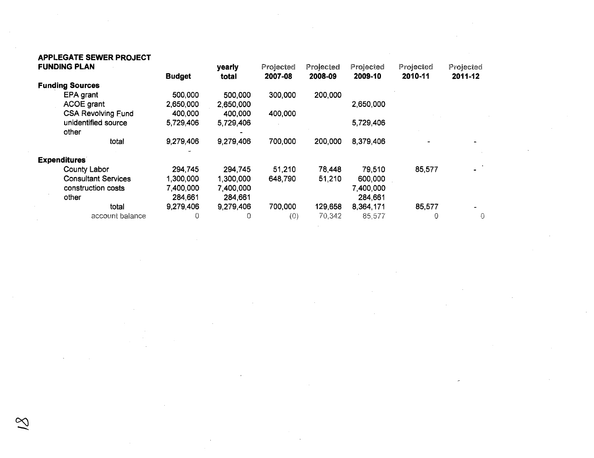## **APPLEGATE SEWER PROJECT**

 $\sim 10^{-1}$ 

 $\sim 10^{-1}$ 

 $\mathcal{A}^{\mathrm{c}}$  .

|                        | <b>FUNDING PLAN</b>        |               | yearly    | Projected | Projected | Projected | Projected | Projected |
|------------------------|----------------------------|---------------|-----------|-----------|-----------|-----------|-----------|-----------|
|                        |                            | <b>Budget</b> | total     | 2007-08   | 2008-09   | 2009-10   | 2010-11   | 2011-12   |
| <b>Funding Sources</b> |                            |               |           |           |           |           |           |           |
|                        | EPA grant                  | 500,000       | 500,000   | 300,000   | 200,000   |           |           |           |
|                        | <b>ACOE grant</b>          | 2,650,000     | 2,650,000 |           |           | 2,650,000 |           |           |
|                        | <b>CSA Revolving Fund</b>  | 400,000       | 400,000   | 400,000   |           |           |           |           |
|                        | unidentified source        | 5,729,406     | 5,729,406 |           |           | 5,729,406 |           |           |
|                        | other                      |               |           |           |           |           |           |           |
|                        | total                      | 9,279,406     | 9,279,406 | 700,000   | 200,000   | 8,379,406 |           |           |
|                        | <b>Expenditures</b>        |               |           |           |           |           |           |           |
|                        | <b>County Labor</b>        | 294,745       | 294,745   | 51,210    | 78,448    | 79,510    | 85,577    |           |
|                        | <b>Consultant Services</b> | 1,300,000     | 1,300,000 | 648,790   | 51,210    | 600,000   |           |           |
|                        | construction costs         | 7,400,000     | 7,400,000 |           |           | 7,400,000 |           |           |
|                        | other                      | 284,661       | 284,661   |           |           | 284,661   |           |           |
|                        | total                      | 9,279,406     | 9,279,406 | 700,000   | 129,658   | 8,364,171 | 85,577    |           |
|                        | account balance            | 0             | 0         | (0)       | 70,342    | 85,577    | 0         | $\Omega$  |

 $\sim 10^{-1}$ 

 $\sim$ 

 $\mathcal{L}^{\text{max}}_{\text{max}}$ 

 $\sim 10^{-1}$ 

 $\mathcal{L}^{\text{max}}_{\text{max}}$ 

 $\sim 10^7$ 

 $\sim 10^{-1}$ 

 $\sim 100$  km s

 $\sim 100$ 

 $\sim$ 

 $\sim 10^{-1}$ 

 $\sim$